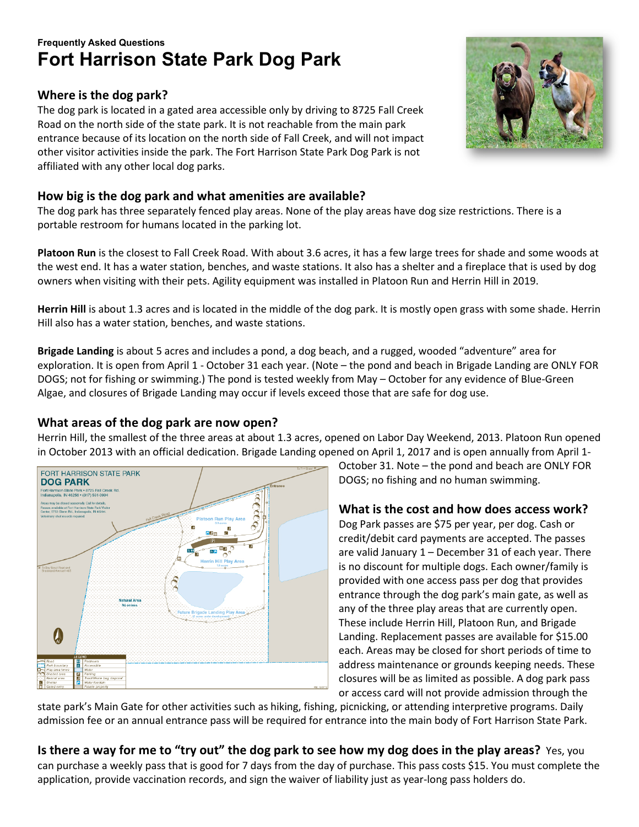# **Frequently Asked Questions Fort Harrison State Park Dog Park**

# **Where is the dog park?**

The dog park is located in a gated area accessible only by driving to 8725 Fall Creek Road on the north side of the state park. It is not reachable from the main park entrance because of its location on the north side of Fall Creek, and will not impact other visitor activities inside the park. The Fort Harrison State Park Dog Park is not affiliated with any other local dog parks.

# **How big is the dog park and what amenities are available?**

The dog park has three separately fenced play areas. None of the play areas have dog size restrictions. There is a portable restroom for humans located in the parking lot.

**Platoon Run** is the closest to Fall Creek Road. With about 3.6 acres, it has a few large trees for shade and some woods at the west end. It has a water station, benches, and waste stations. It also has a shelter and a fireplace that is used by dog owners when visiting with their pets. Agility equipment was installed in Platoon Run and Herrin Hill in 2019.

**Herrin Hill** is about 1.3 acres and is located in the middle of the dog park. It is mostly open grass with some shade. Herrin Hill also has a water station, benches, and waste stations.

**Brigade Landing** is about 5 acres and includes a pond, a dog beach, and a rugged, wooded "adventure" area for exploration. It is open from April 1 - October 31 each year. (Note – the pond and beach in Brigade Landing are ONLY FOR DOGS; not for fishing or swimming.) The pond is tested weekly from May – October for any evidence of Blue-Green Algae, and closures of Brigade Landing may occur if levels exceed those that are safe for dog use.

## **What areas of the dog park are now open?**

Herrin Hill, the smallest of the three areas at about 1.3 acres, opened on Labor Day Weekend, 2013. Platoon Run opened in October 2013 with an official dedication. Brigade Landing opened on April 1, 2017 and is open annually from April 1-



October 31. Note – the pond and beach are ONLY FOR DOGS; no fishing and no human swimming.

## **What is the cost and how does access work?**

Dog Park passes are \$75 per year, per dog. Cash or credit/debit card payments are accepted. The passes are valid January 1 – December 31 of each year. There is no discount for multiple dogs. Each owner/family is provided with one access pass per dog that provides entrance through the dog park's main gate, as well as any of the three play areas that are currently open. These include Herrin Hill, Platoon Run, and Brigade Landing. Replacement passes are available for \$15.00 each. Areas may be closed for short periods of time to address maintenance or grounds keeping needs. These closures will be as limited as possible. A dog park pass or access card will not provide admission through the

state park's Main Gate for other activities such as hiking, fishing, picnicking, or attending interpretive programs. Daily admission fee or an annual entrance pass will be required for entrance into the main body of Fort Harrison State Park.

**Is there a way for me to "try out" the dog park to see how my dog does in the play areas?** Yes, you can purchase a weekly pass that is good for 7 days from the day of purchase. This pass costs \$15. You must complete the application, provide vaccination records, and sign the waiver of liability just as year-long pass holders do.